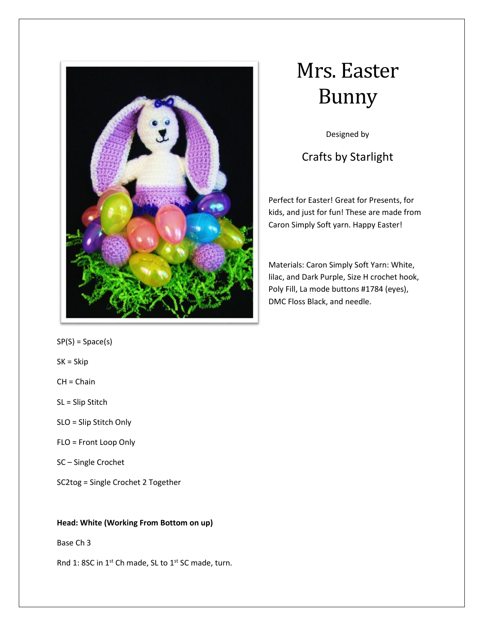

# Mrs. Easter Bunny

Designed by

# Crafts by Starlight

Perfect for Easter! Great for Presents, for kids, and just for fun! These are made from Caron Simply Soft yarn. Happy Easter!

Materials: Caron Simply Soft Yarn: White, lilac, and Dark Purple, Size H crochet hook, Poly Fill, La mode buttons #1784 (eyes), DMC Floss Black, and needle.

 $SP(S) = Space(s)$ 

SK = Skip

 $CH = Chain$ 

SL = Slip Stitch

- SLO = Slip Stitch Only
- FLO = Front Loop Only
- SC Single Crochet

SC2tog = Single Crochet 2 Together

# **Head: White (Working From Bottom on up)**

# Base Ch 3

Rnd 1: 8SC in 1<sup>st</sup> Ch made, SL to 1<sup>st</sup> SC made, turn.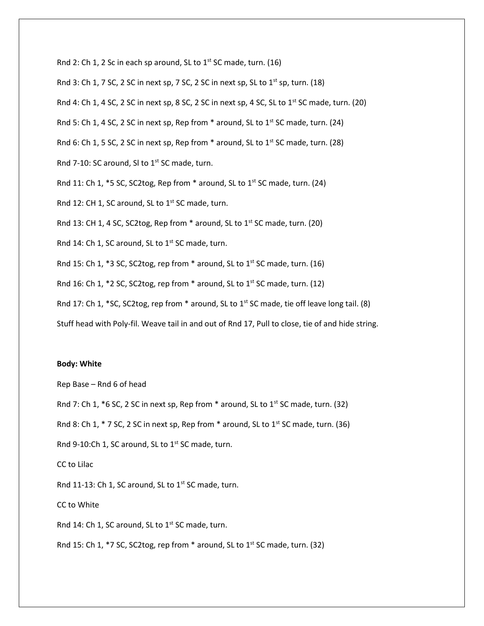Rnd 2: Ch 1, 2 Sc in each sp around, SL to  $1<sup>st</sup>$  SC made, turn. (16)

Rnd 3: Ch 1, 7 SC, 2 SC in next sp, 7 SC, 2 SC in next sp, SL to  $1<sup>st</sup>$  sp, turn. (18)

Rnd 4: Ch 1, 4 SC, 2 SC in next sp, 8 SC, 2 SC in next sp, 4 SC, SL to  $1<sup>st</sup>$  SC made, turn. (20)

Rnd 5: Ch 1, 4 SC, 2 SC in next sp, Rep from  $*$  around, SL to 1st SC made, turn. (24)

Rnd 6: Ch 1, 5 SC, 2 SC in next sp, Rep from  $*$  around, SL to 1<sup>st</sup> SC made, turn. (28)

Rnd 7-10: SC around, SI to 1<sup>st</sup> SC made, turn.

Rnd 11: Ch 1,  $*$ 5 SC, SC2tog, Rep from  $*$  around, SL to 1<sup>st</sup> SC made, turn. (24)

Rnd 12: CH 1, SC around, SL to  $1<sup>st</sup>$  SC made, turn.

Rnd 13: CH 1, 4 SC, SC2tog, Rep from  $*$  around, SL to 1<sup>st</sup> SC made, turn. (20)

Rnd 14: Ch 1, SC around, SL to  $1<sup>st</sup>$  SC made, turn.

Rnd 15: Ch 1,  $*$ 3 SC, SC2tog, rep from  $*$  around, SL to 1<sup>st</sup> SC made, turn. (16)

Rnd 16: Ch 1,  $*$ 2 SC, SC2tog, rep from  $*$  around, SL to 1<sup>st</sup> SC made, turn. (12)

Rnd 17: Ch 1, \*SC, SC2tog, rep from \* around, SL to 1st SC made, tie off leave long tail. (8)

Stuff head with Poly-fil. Weave tail in and out of Rnd 17, Pull to close, tie of and hide string.

#### **Body: White**

Rep Base – Rnd 6 of head

Rnd 7: Ch 1,  $*6$  SC, 2 SC in next sp, Rep from  $*$  around, SL to 1<sup>st</sup> SC made, turn. (32)

Rnd 8: Ch 1,  $*$  7 SC, 2 SC in next sp, Rep from  $*$  around, SL to 1<sup>st</sup> SC made, turn. (36)

Rnd 9-10:Ch 1, SC around, SL to  $1<sup>st</sup>$  SC made, turn.

CC to Lilac

Rnd 11-13: Ch 1, SC around, SL to  $1^{st}$  SC made, turn.

CC to White

Rnd 14: Ch 1, SC around, SL to 1<sup>st</sup> SC made, turn.

Rnd 15: Ch 1,  $*$ 7 SC, SC2tog, rep from  $*$  around, SL to 1<sup>st</sup> SC made, turn. (32)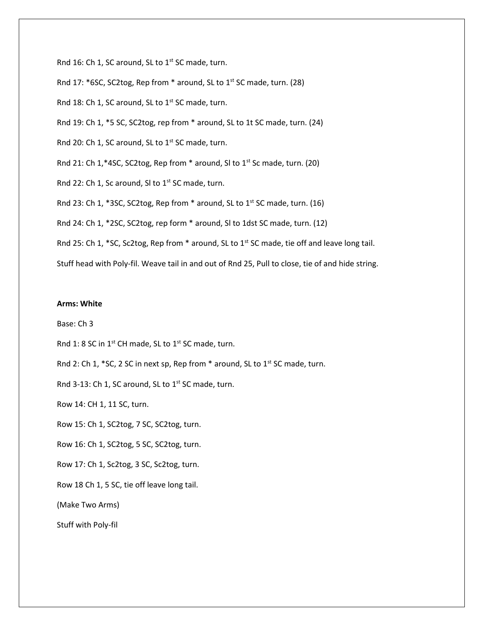Rnd 16: Ch 1, SC around, SL to  $1<sup>st</sup>$  SC made, turn. Rnd 17: \*6SC, SC2tog, Rep from \* around, SL to 1<sup>st</sup> SC made, turn. (28) Rnd 18: Ch 1, SC around, SL to  $1<sup>st</sup>$  SC made, turn. Rnd 19: Ch 1, \*5 SC, SC2tog, rep from \* around, SL to 1t SC made, turn. (24) Rnd 20: Ch 1, SC around, SL to 1<sup>st</sup> SC made, turn. Rnd 21: Ch 1,\*4SC, SC2tog, Rep from \* around, SI to 1st Sc made, turn. (20) Rnd 22: Ch 1, Sc around, SI to  $1<sup>st</sup>$  SC made, turn. Rnd 23: Ch 1, \*3SC, SC2tog, Rep from  $*$  around, SL to 1<sup>st</sup> SC made, turn. (16) Rnd 24: Ch 1, \*2SC, SC2tog, rep form \* around, Sl to 1dst SC made, turn. (12) Rnd 25: Ch 1, \*SC, Sc2tog, Rep from \* around, SL to 1<sup>st</sup> SC made, tie off and leave long tail. Stuff head with Poly-fil. Weave tail in and out of Rnd 25, Pull to close, tie of and hide string.

## **Arms: White**

Base: Ch 3

Rnd 1: 8 SC in  $1^{st}$  CH made, SL to  $1^{st}$  SC made, turn.

Rnd 2: Ch 1,  $*$  SC, 2 SC in next sp, Rep from  $*$  around, SL to 1<sup>st</sup> SC made, turn.

Rnd 3-13: Ch 1, SC around, SL to  $1^{st}$  SC made, turn.

Row 14: CH 1, 11 SC, turn.

Row 15: Ch 1, SC2tog, 7 SC, SC2tog, turn.

Row 16: Ch 1, SC2tog, 5 SC, SC2tog, turn.

Row 17: Ch 1, Sc2tog, 3 SC, Sc2tog, turn.

Row 18 Ch 1, 5 SC, tie off leave long tail.

(Make Two Arms)

Stuff with Poly-fil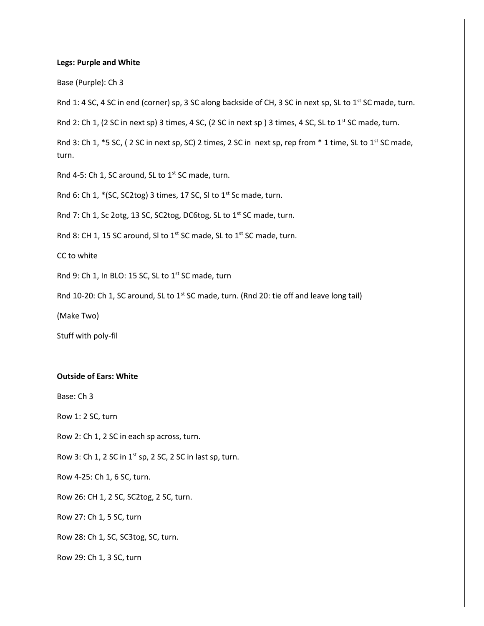#### **Legs: Purple and White**

Base (Purple): Ch 3

Rnd 1: 4 SC, 4 SC in end (corner) sp, 3 SC along backside of CH, 3 SC in next sp, SL to 1st SC made, turn.

Rnd 2: Ch 1, (2 SC in next sp) 3 times, 4 SC, (2 SC in next sp) 3 times, 4 SC, SL to 1<sup>st</sup> SC made, turn.

Rnd 3: Ch 1, \*5 SC, (2 SC in next sp, SC) 2 times, 2 SC in next sp, rep from \* 1 time, SL to 1<sup>st</sup> SC made, turn.

Rnd 4-5: Ch 1, SC around, SL to  $1^{st}$  SC made, turn.

Rnd 6: Ch 1,  $*(SC, SC2tog)$  3 times, 17 SC, SI to 1st Sc made, turn.

Rnd 7: Ch 1, Sc 2otg, 13 SC, SC2tog, DC6tog, SL to 1<sup>st</sup> SC made, turn.

Rnd 8: CH 1, 15 SC around, SI to 1<sup>st</sup> SC made, SL to 1<sup>st</sup> SC made, turn.

CC to white

Rnd 9: Ch 1, In BLO: 15 SC, SL to  $1^{st}$  SC made, turn

Rnd 10-20: Ch 1, SC around, SL to 1<sup>st</sup> SC made, turn. (Rnd 20: tie off and leave long tail)

(Make Two)

Stuff with poly-fil

#### **Outside of Ears: White**

Base: Ch 3

Row 1: 2 SC, turn

Row 2: Ch 1, 2 SC in each sp across, turn.

Row 3: Ch 1, 2 SC in  $1^{st}$  sp, 2 SC, 2 SC in last sp, turn.

Row 4-25: Ch 1, 6 SC, turn.

Row 26: CH 1, 2 SC, SC2tog, 2 SC, turn.

Row 27: Ch 1, 5 SC, turn

Row 28: Ch 1, SC, SC3tog, SC, turn.

Row 29: Ch 1, 3 SC, turn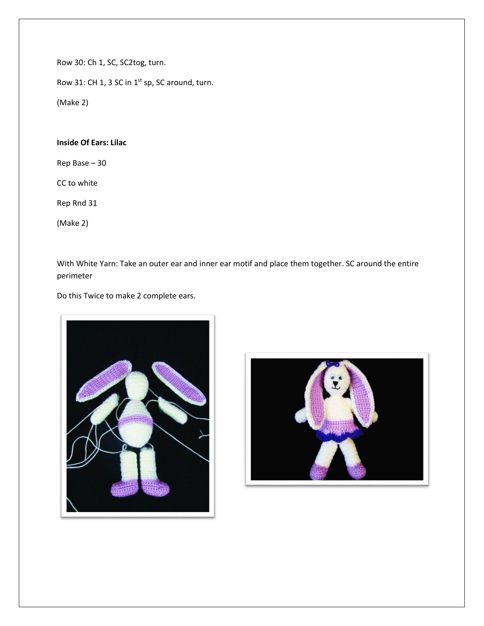Row 30: Ch 1, SC, SC2tog, turn.

Row 31: CH 1, 3 SC in 1<sup>st</sup> sp, SC around, turn.

(Make 2)

# **Inside Of Ears: Lilac**

Rep Base – 30

CC to white

Rep Rnd 31

(Make 2)

With White Yarn: Take an outer ear and inner ear motif and place them together. SC around the entire perimeter

Do this Twice to make 2 complete ears.